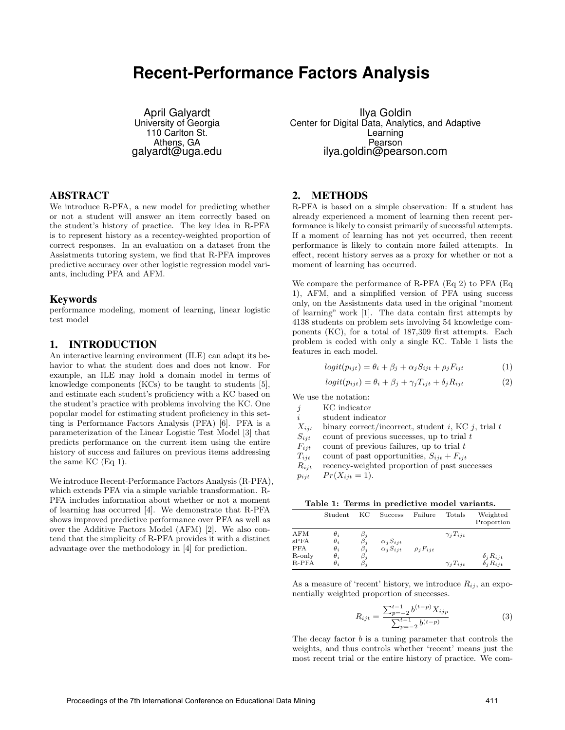# **Recent-Performance Factors Analysis**

April Galyardt University of Georgia 110 Carlton St. Athens, GA galyardt@uga.edu

#### ABSTRACT

We introduce R-PFA, a new model for predicting whether or not a student will answer an item correctly based on the student's history of practice. The key idea in R-PFA is to represent history as a recentcy-weighted proportion of correct responses. In an evaluation on a dataset from the Assistments tutoring system, we find that R-PFA improves predictive accuracy over other logistic regression model variants, including PFA and AFM.

#### Keywords

performance modeling, moment of learning, linear logistic test model

# 1. INTRODUCTION

An interactive learning environment (ILE) can adapt its behavior to what the student does and does not know. For example, an ILE may hold a domain model in terms of knowledge components (KCs) to be taught to students [5], and estimate each student's proficiency with a KC based on the student's practice with problems involving the KC. One popular model for estimating student proficiency in this setting is Performance Factors Analysis (PFA) [6]. PFA is a parameterization of the Linear Logistic Test Model [3] that predicts performance on the current item using the entire history of success and failures on previous items addressing the same KC (Eq 1).

We introduce Recent-Performance Factors Analysis (R-PFA), which extends PFA via a simple variable transformation. R-PFA includes information about whether or not a moment of learning has occurred [4]. We demonstrate that R-PFA shows improved predictive performance over PFA as well as over the Additive Factors Model (AFM) [2]. We also contend that the simplicity of R-PFA provides it with a distinct advantage over the methodology in [4] for prediction.

Ilya Goldin Center for Digital Data, Analytics, and Adaptive Learning Pearson ilya.goldin@pearson.com

#### 2. METHODS

R-PFA is based on a simple observation: If a student has already experienced a moment of learning then recent performance is likely to consist primarily of successful attempts. If a moment of learning has not yet occurred, then recent performance is likely to contain more failed attempts. In effect, recent history serves as a proxy for whether or not a moment of learning has occurred.

We compare the performance of R-PFA (Eq 2) to PFA (Eq 1), AFM, and a simplified version of PFA using success only, on the Assistments data used in the original "moment of learning" work [1]. The data contain first attempts by 4138 students on problem sets involving 54 knowledge components (KC), for a total of 187,309 first attempts. Each problem is coded with only a single KC. Table 1 lists the features in each model.

$$
logit(p_{ijt}) = \theta_i + \beta_j + \alpha_j S_{ijt} + \rho_j F_{ijt}
$$
\n(1)

$$
logit(p_{ijt}) = \theta_i + \beta_j + \gamma_j T_{ijt} + \delta_j R_{ijt}
$$
 (2)

We use the notation:

- j KC indicator
- i student indicator
- $X_{ijt}$  binary correct/incorrect, student i, KC j, trial t
- $\begin{array}{ll} S_{ijt} & \text{count of previous successes, up to trial } t \\ F_{iit} & \text{count of previous failures, up to trial } t \end{array}$

 $F_{ijt}$  count of previous failures, up to trial  $t$ <br>  $T_{iit}$  count of past opportunities,  $S_{ijt} + F_{ijt}$ 

 $T_{ijt}$  count of past opportunities,  $S_{ijt} + F_{ijt}$ <br> $R_{iit}$  recency-weighted proportion of past su recency-weighted proportion of past successes

 $p_{ijt}$   $Pr(X_{ijt} = 1).$ 

Table 1: Terms in predictive model variants.

|                                                   | Student                                                            | KС                                                            | <b>Success</b>                           | Failure          | Totals                                   | Weighted<br>Proportion                   |
|---------------------------------------------------|--------------------------------------------------------------------|---------------------------------------------------------------|------------------------------------------|------------------|------------------------------------------|------------------------------------------|
| AFM<br>$s$ PFA<br><b>PFA</b><br>R-only<br>$R-PFA$ | $\theta_i$<br>$\theta_i$<br>$\theta_i$<br>$\theta_i$<br>$\theta_i$ | $\beta_j$<br>$\beta_j$<br>$\beta_i$<br>$\beta_i$<br>$\beta_i$ | $\alpha_j S_{ijt}$<br>$\alpha_i S_{iit}$ | $\rho_i F_{iit}$ | $\gamma_i T_{iit}$<br>$\gamma_i T_{iit}$ | $\delta_j R_{ijt}$<br>$\delta_i R_{iit}$ |

As a measure of 'recent' history, we introduce  $R_{ij}$ , an exponentially weighted proportion of successes.

$$
R_{ijt} = \frac{\sum_{p=-2}^{t-1} b^{(t-p)} X_{ijp}}{\sum_{p=-2}^{t-1} b^{(t-p)}}
$$
(3)

The decay factor b is a tuning parameter that controls the weights, and thus controls whether 'recent' means just the most recent trial or the entire history of practice. We com